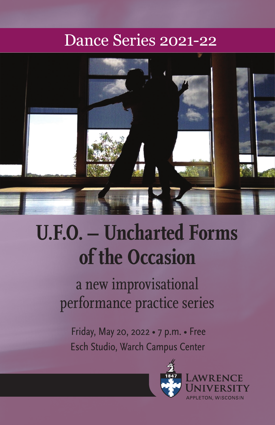# Dance Series 2021-22



# **U.F.O. – Uncharted Forms of the Occasion**

a new improvisational performance practice series

 Friday, May 20, 2022 • 7 p.m. • Free Esch Studio, Warch Campus Center

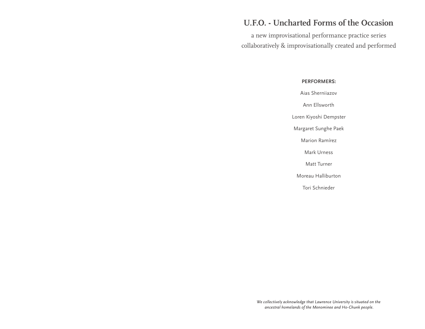## **U.F.O. - Uncharted Forms of the Occasion**

a new improvisational performance practice series collaboratively & improvisationally created and performed

#### **PERFORMERS:**

Aias Sherniiazov

Ann Ellsworth

Loren Kiyoshi Dempster

Margaret Sunghe Paek

Marion Ramírez

Mark Urness

Matt Turner

Moreau Halliburton

Tori Schnieder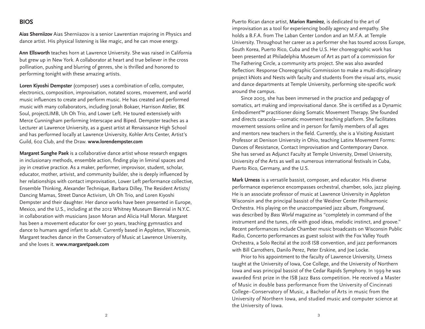### **BIOS**

**Aias Sherniizov** Aias Sherniiazov is a senior Lawrentian majoring in Physics and dance artist. His physical listening is like magic, and he can move energy.

**Ann Ellsworth** teaches horn at Lawrence University. She was raised in California but grew up in New York. A collaborator at heart and true believer in the cross pollination, pushing and blurring of genres, she is thrilled and honored to performing tonight with these amazing artists.

**Loren Kiyoshi Dempster** (composer) uses a combination of cello, computer, electronics, composition, improvisation, notated scores, movement, and world music influences to create and perform music. He has created and performed music with many collaborators, including Jonah Bokaer, Harrison Atelier, BK Soul, projectLIMB, Uh Oh Trio, and Lower Left. He toured extensively with Merce Cunningham performing Interscape and Biped. Dempster teaches as a Lecturer at Lawrence University, as a guest artist at Renaissance High School and has performed locally at Lawrence University, Kohler Arts Center, Artist's Guild, 602 Club, and the Draw. **www.lorendempster.com**

**Margaret Sunghe Paek** is a collaborative dance artist whose research engages in inclusionary methods, ensemble action, finding play in liminal spaces and joy in creative practice. As a maker, performer, improvisor, student, scholar, educator, mother, artivist, and community builder, she is deeply influenced by her relationships with contact improvisation, Lower Left performance collective, Ensemble Thinking, Alexander Technique, Barbara Dilley, The Resident Artists/ Dancing Mamas, Street Dance Activism, Uh Oh Trio, and Loren Kiyoshi Dempster and their daughter. Her dance works have been presented in Europe, Mexico, and the U.S., including at the 2012 Whitney Museum Biennial in N.Y.C. in collaboration with musicians Jason Moran and Alicia Hall Moran. Margaret has been a movement educator for over 30 years, teaching gymnastics and dance to humans aged infant to adult. Currently based in Appleton, Wisconsin, Margaret teaches dance in the Conservatory of Music at Lawrence University, and she loves it. **www.margaretpaek.com**

Puerto Rican dance artist, **Marion Ramírez**, is dedicated to the art of improvisation as a tool for experiencing bodily agency and empathy. She holds a B.F.A. from The Laban Center London and an M.F.A. at Temple University. Throughout her career as a performer she has toured across Europe, South Korea, Puerto Rico, Cuba and the U.S. Her choreographic work has been presented at Philadelphia Museum of Art as part of a commission for The Fathering Circle, a community arts project. She was also awarded Reflection: Response Choreographic Commission to make a multi-disciplinary project kNots and Nests with faculty and students from the visual arts, music and dance departments at Temple University, performing site-specific work around the campus.

 Since 2003, she has been immersed in the practice and pedagogy of somatics, art making and improvisational dance. She is certified as a Dynamic Embodiment™ practitioner doing Somatic Movement Therapy. She founded and directs caracola—somatic movement teaching platform. She facilitates movement sessions online and in person for family members of all ages and mentors new teachers in the field. Currently, she is a Visiting Assistant Professor at Denison University in Ohio, teaching Latinx Movement Forms: Dances of Resistance, Contact Improvisation and Contemporary Dance. She has served as Adjunct Faculty at Temple University, Drexel University, University of the Arts as well as numerous international festivals in Cuba, Puerto Rico, Germany, and the U.S.

**Mark Urness** is a versatile bassist, composer, and educator. His diverse performance experience encompasses orchestral, chamber, solo, jazz playing. He is an associate professor of music at Lawrence University in Appleton Wisconsin and the principal bassist of the Weidner Center Philharmonic Orchestra. His playing on the unaccompanied jazz album, *Foreground*, was described by *Bass World* magazine as "completely in command of the instrument and the tunes, rife with good ideas, melodic instinct, and groove." Recent performances include Chamber music broadcasts on Wisconsin Public Radio, Concerto performances as guest soloist with the Fox Valley Youth Orchestra, a Solo Recital at the 2018 ISB convention, and jazz performances with Bill Carrothers, Danilo Perez, Peter Erskine, and Joe Locke.

 Prior to his appointment to the faculty of Lawrence University, Urness taught at the University of Iowa, Coe College, and the University of Northern Iowa and was principal bassist of the Cedar Rapids Symphony. In 1999 he was awarded first prize in the ISB Jazz Bass competition. He received a Master of Music in double bass performance from the University of Cincinnati College–Conservatory of Music, a Bachelor of Arts in music from the University of Northern Iowa, and studied music and computer science at the University of Iowa.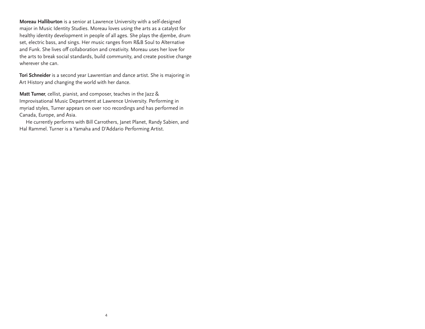**Moreau Halliburton** is a senior at Lawrence University with a self-designed major in Music Identity Studies. Moreau loves using the arts as a catalyst for healthy identity development in people of all ages. She plays the djembe, drum set, electric bass, and sings. Her music ranges from R&B Soul to Alternative and Funk. She lives off collaboration and creativity. Moreau uses her love for the arts to break social standards, build community, and create positive change wherever she can.

**Tori Schneider** is a second year Lawrentian and dance artist. She is majoring in Art History and changing the world with her dance.

**Matt Turner**, cellist, pianist, and composer, teaches in the Jazz & Improvisational Music Department at Lawrence University. Performing in myriad styles, Turner appears on over 100 recordings and has performed in Canada, Europe, and Asia.

 He currently performs with Bill Carrothers, Janet Planet, Randy Sabien, and Hal Rammel. Turner is a Yamaha and D'Addario Performing Artist.